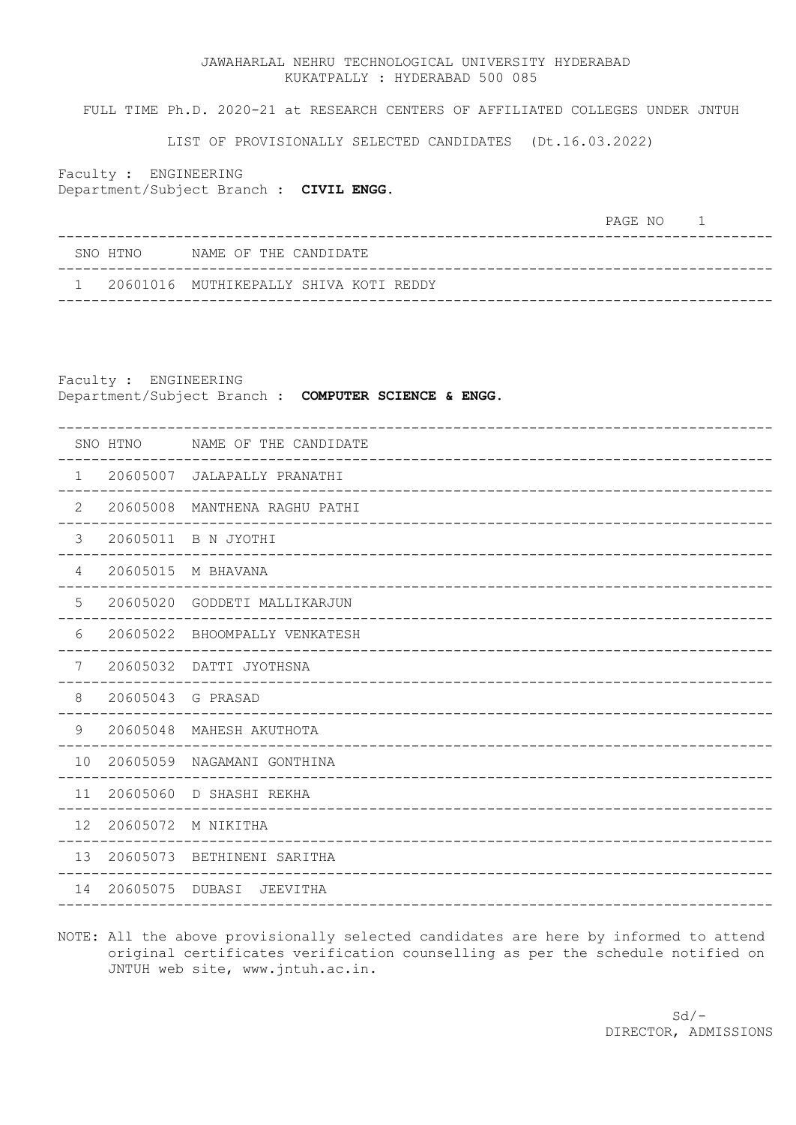## JAWAHARLAL NEHRU TECHNOLOGICAL UNIVERSITY HYDERABAD KUKATPALLY : HYDERABAD 500 085

FULL TIME Ph.D. 2020-21 at RESEARCH CENTERS OF AFFILIATED COLLEGES UNDER JNTUH

LIST OF PROVISIONALLY SELECTED CANDIDATES (Dt.16.03.2022)

Faculty : ENGINEERING Department/Subject Branch : **CIVIL ENGG.**

PAGE NO<sub>1</sub>

| SNO HTNO            NAME OF THE CANDIDATE |
|-------------------------------------------|
| 1 20601016 MUTHIKEPALLY SHIVA KOTI REDDY  |

Faculty : ENGINEERING Department/Subject Branch : **COMPUTER SCIENCE & ENGG.**

|               | SNO HTNO          | NAME OF THE CANDIDATE   |
|---------------|-------------------|-------------------------|
| $\mathbf{1}$  | 20605007          | JALAPALLY PRANATHI      |
| $\mathbf{2}$  | 20605008          | MANTHENA RAGHU PATHI    |
| 3             |                   | 20605011 B N JYOTHI     |
| 4             |                   | 20605015 M BHAVANA      |
| 5             | 20605020          | GODDETI MALLIKARJUN     |
| 6             | 20605022          | BHOOMPALLY VENKATESH    |
| 7             |                   | 20605032 DATTI JYOTHSNA |
| 8             | 20605043 G PRASAD |                         |
| $\mathcal{G}$ | 20605048          | MAHESH AKUTHOTA         |
| 10            | 20605059          | NAGAMANI GONTHINA       |
| 11            |                   | 20605060 D SHASHI REKHA |
| 12            | 20605072          | M NIKITHA               |
| 13            | 20605073          | BETHINENI SARITHA       |
| 14            | 20605075 DUBASI   | JEEVITHA                |
|               |                   |                         |

NOTE: All the above provisionally selected candidates are here by informed to attend original certificates verification counselling as per the schedule notified on JNTUH web site, www.jntuh.ac.in.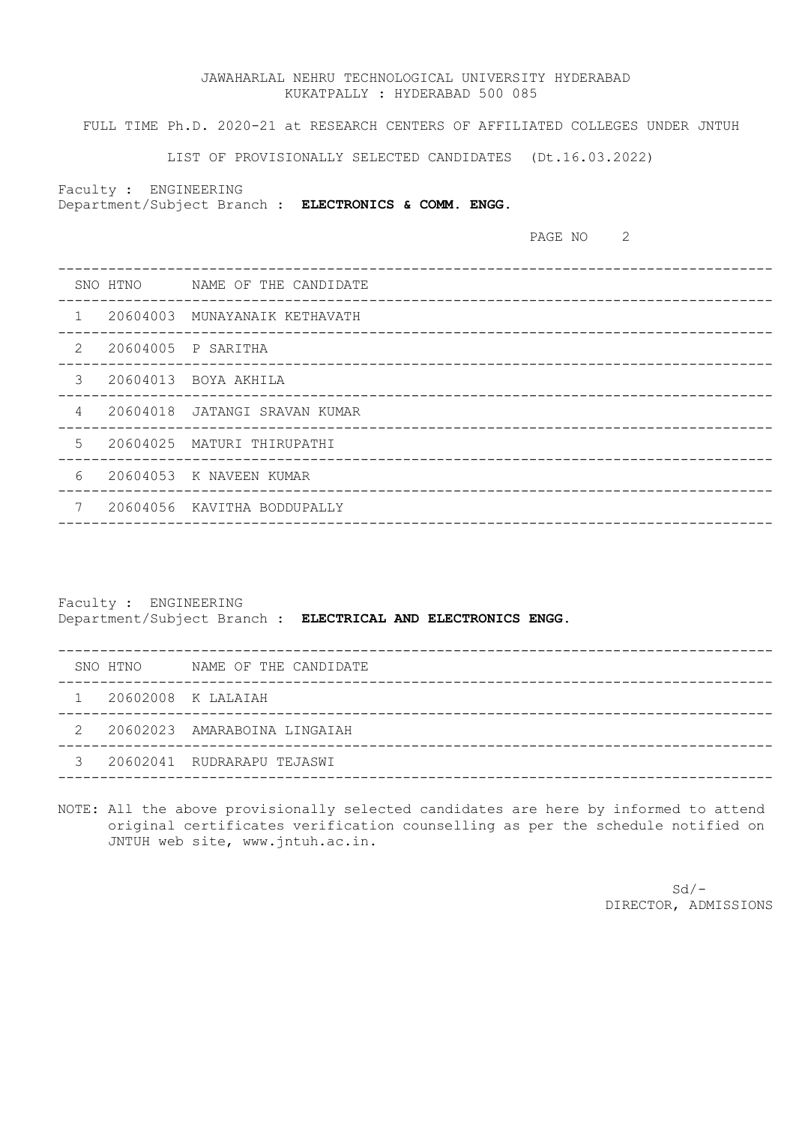## JAWAHARLAL NEHRU TECHNOLOGICAL UNIVERSITY HYDERABAD KUKATPALLY : HYDERABAD 500 085

FULL TIME Ph.D. 2020-21 at RESEARCH CENTERS OF AFFILIATED COLLEGES UNDER JNTUH

LIST OF PROVISIONALLY SELECTED CANDIDATES (Dt.16.03.2022)

Faculty : ENGINEERING

Department/Subject Branch : **ELECTRONICS & COMM. ENGG.**

PAGE NO<sub>2</sub>

|              |                    | SNO HTNO MAME OF THE CANDIDATE<br>_______________________________ |
|--------------|--------------------|-------------------------------------------------------------------|
| $\mathbf{1}$ |                    | 20604003 MUNAYANAIK KETHAVATH                                     |
| 2            | 20604005 P SARITHA |                                                                   |
| 3            |                    | 20604013 BOYA AKHILA                                              |
| 4            |                    | 20604018 JATANGI SRAVAN KUMAR                                     |
| $5^{\circ}$  |                    | 20604025 MATURI THIRUPATHI                                        |
| 6            |                    | 20604053 K NAVEEN KUMAR                                           |
| 7            | 20604056           | KAVITHA BODDUPALLY                                                |
|              |                    |                                                                   |

Faculty : ENGINEERING Department/Subject Branch : **ELECTRICAL AND ELECTRONICS ENGG.**

|  | SNO HTNO             | NAME OF THE CANDIDATE          |
|--|----------------------|--------------------------------|
|  | 1 20602008 K LALAIAH |                                |
|  |                      | 2 20602023 AMARABOINA LINGAIAH |
|  |                      | 3 20602041 RUDRARAPU TEJASWI   |
|  |                      |                                |

NOTE: All the above provisionally selected candidates are here by informed to attend original certificates verification counselling as per the schedule notified on JNTUH web site, www.jntuh.ac.in.

 $Sd/-$ DIRECTOR, ADMISSIONS